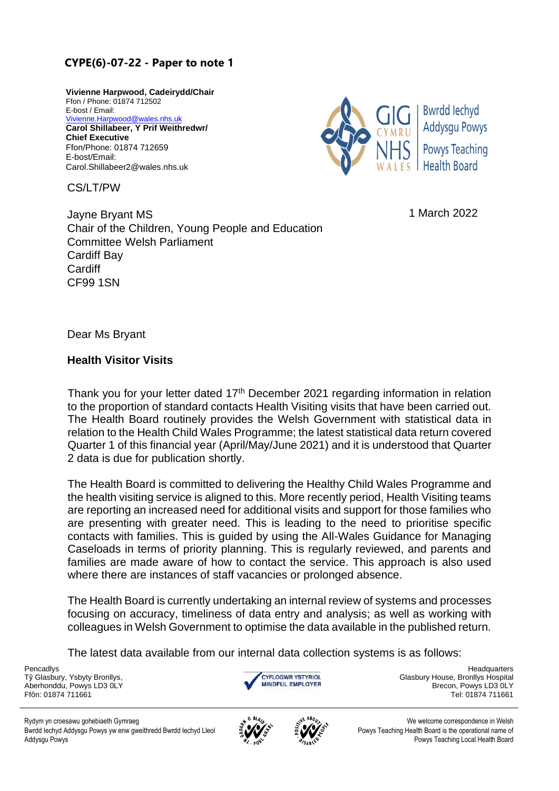## **C[YPE\(6\)-07-22 - Paper to](mailto:Vivienne.Harpwood@wales.nhs.uk) note 1**

**Vivienne Harpwood, Cadeirydd/Chair**  Ffon / Phone: 01874 712502 E-bost / Email: Vivienne.Harpwood@wales.nhs.uk **Carol Shillabeer, Y Prif Weithredwr/ Chief Executive** Ffon/Phone: 01874 712659 E-bost/Email: Carol.Shillabeer2@wales.nhs.uk

CS/LT/PW



1 March 2022

Jayne Bryant MS Chair of the Children, Young People and Education Committee Welsh Parliament Cardiff Bay **Cardiff** CF99 1SN

Dear Ms Bryant

## **Health Visitor Visits**

Thank you for your letter dated 17<sup>th</sup> December 2021 regarding information in relation to the proportion of standard contacts Health Visiting visits that have been carried out. The Health Board routinely provides the Welsh Government with statistical data in relation to the Health Child Wales Programme; the latest statistical data return covered Quarter 1 of this financial year (April/May/June 2021) and it is understood that Quarter 2 data is due for publication shortly.

The Health Board is committed to delivering the Healthy Child Wales Programme and the health visiting service is aligned to this. More recently period, Health Visiting teams are reporting an increased need for additional visits and support for those families who are presenting with greater need. This is leading to the need to prioritise specific contacts with families. This is guided by using the All-Wales Guidance for Managing Caseloads in terms of priority planning. This is regularly reviewed, and parents and families are made aware of how to contact the service. This approach is also used where there are instances of staff vacancies or prolonged absence.

The Health Board is currently undertaking an internal review of systems and processes focusing on accuracy, timeliness of data entry and analysis; as well as working with colleagues in Welsh Government to optimise the data available in the published return.

The latest data available from our internal data collection systems is as follows:

Tŷ Glasbury, Ysbyty Bronllys, Aberhonddu, Powys LD3 0LY



Pencadlys **Headquarters** Headquarters **Headquarters Headquarters Headquarters Headquarters** Glasbury House, Bronllys Hospital Brecon, Powys LD3 0LY Ffôn: 01874 711661 Tel: 01874 711661

Rydym yn croesawu gohebiaeth Gymraeg Weish و المستخدم المستخدم المستخدم المستخدم المستخدم المستخدم المستخدم المستخدم المستخدم المستخدم المستخدم المستخدم المستخدم المستخدم المستخدم المستخدم المستخدم المستخدم المستخدم المست Bwrdd Iechyd Addysgu Powys yw enw gweithredd Bwrdd Iechyd Lleol Addysgu Powys





Powys Teaching Health Board is the operational name of Powys Teaching Local Health Board